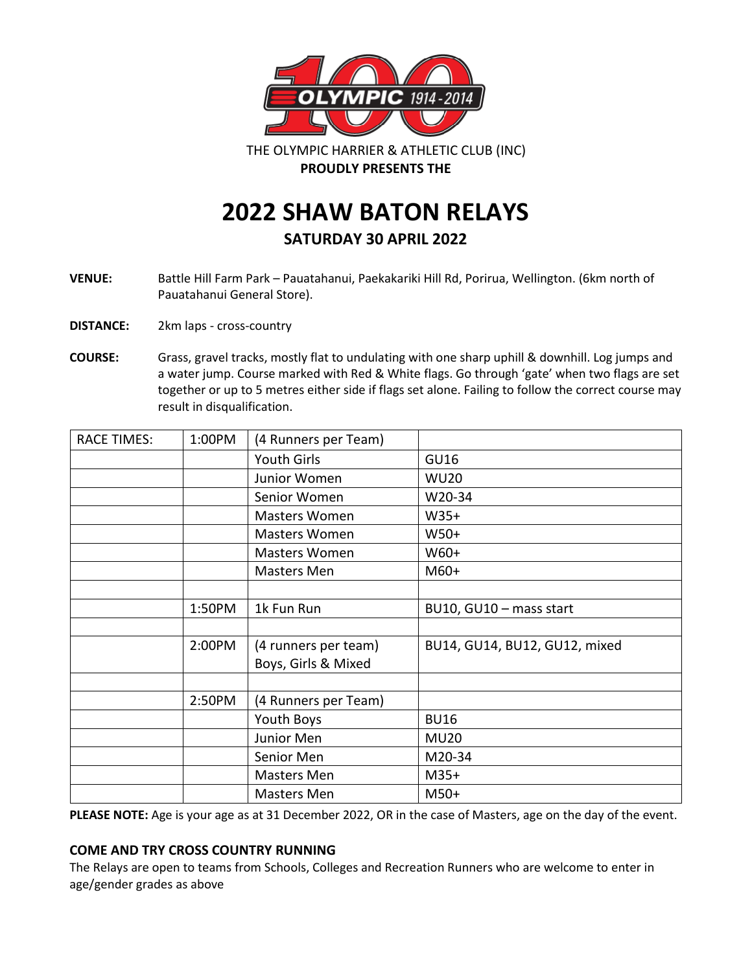

THE OLYMPIC HARRIER & ATHLETIC CLUB (INC) **PROUDLY PRESENTS THE**

**2022 SHAW BATON RELAYS**

**SATURDAY 30 APRIL 2022**

**VENUE:** Battle Hill Farm Park – Pauatahanui, Paekakariki Hill Rd, Porirua, Wellington. (6km north of Pauatahanui General Store).

**DISTANCE:** 2km laps - cross-country

**COURSE:** Grass, gravel tracks, mostly flat to undulating with one sharp uphill & downhill. Log jumps and a water jump. Course marked with Red & White flags. Go through 'gate' when two flags are set together or up to 5 metres either side if flags set alone. Failing to follow the correct course may result in disqualification.

| <b>RACE TIMES:</b> | 1:00PM | (4 Runners per Team) |                               |
|--------------------|--------|----------------------|-------------------------------|
|                    |        | Youth Girls          | <b>GU16</b>                   |
|                    |        | Junior Women         | <b>WU20</b>                   |
|                    |        | Senior Women         | W20-34                        |
|                    |        | Masters Women        | $W35+$                        |
|                    |        | Masters Women        | $W50+$                        |
|                    |        | Masters Women        | W60+                          |
|                    |        | <b>Masters Men</b>   | $M60+$                        |
|                    |        |                      |                               |
|                    | 1:50PM | 1k Fun Run           | BU10, GU10 - mass start       |
|                    |        |                      |                               |
|                    | 2:00PM | (4 runners per team) | BU14, GU14, BU12, GU12, mixed |
|                    |        | Boys, Girls & Mixed  |                               |
|                    |        |                      |                               |
|                    | 2:50PM | (4 Runners per Team) |                               |
|                    |        | Youth Boys           | <b>BU16</b>                   |
|                    |        | Junior Men           | <b>MU20</b>                   |
|                    |        | Senior Men           | M20-34                        |
|                    |        | Masters Men          | $M35+$                        |
|                    |        | Masters Men          | $M50+$                        |

**PLEASE NOTE:** Age is your age as at 31 December 2022, OR in the case of Masters, age on the day of the event.

## **COME AND TRY CROSS COUNTRY RUNNING**

The Relays are open to teams from Schools, Colleges and Recreation Runners who are welcome to enter in age/gender grades as above